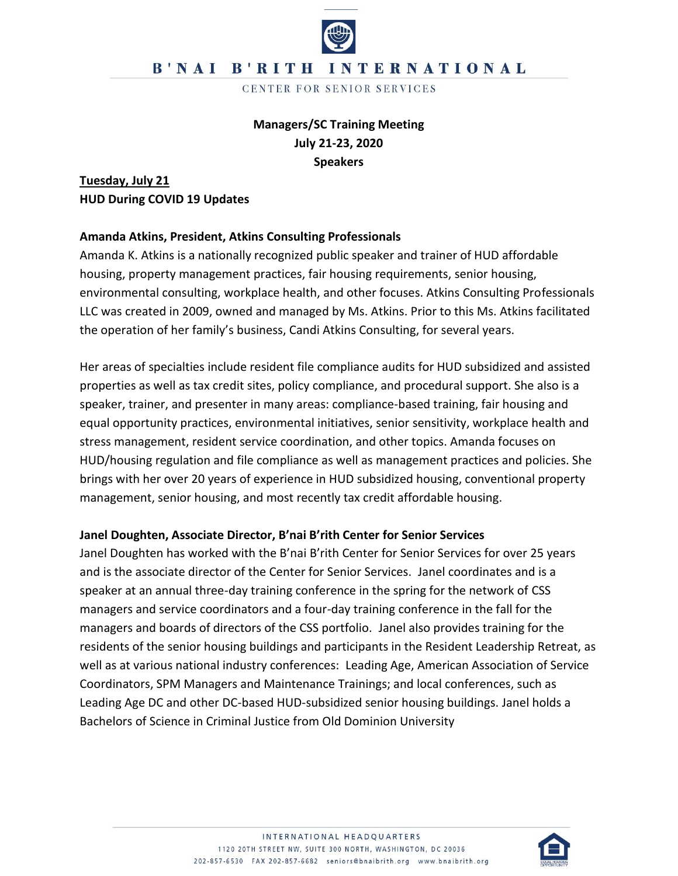CENTER FOR SENIOR SERVICES

## **Managers/SC Training Meeting July 21-23, 2020 Speakers**

**Tuesday, July 21 HUD During COVID 19 Updates**

#### **Amanda Atkins, President, Atkins Consulting Professionals**

Amanda K. Atkins is a nationally recognized public speaker and trainer of HUD affordable housing, property management practices, fair housing requirements, senior housing, environmental consulting, workplace health, and other focuses. Atkins Consulting Professionals LLC was created in 2009, owned and managed by Ms. Atkins. Prior to this Ms. Atkins facilitated the operation of her family's business, Candi Atkins Consulting, for several years.

Her areas of specialties include resident file compliance audits for HUD subsidized and assisted properties as well as tax credit sites, policy compliance, and procedural support. She also is a speaker, trainer, and presenter in many areas: compliance-based training, fair housing and equal opportunity practices, environmental initiatives, senior sensitivity, workplace health and stress management, resident service coordination, and other topics. Amanda focuses on HUD/housing regulation and file compliance as well as management practices and policies. She brings with her over 20 years of experience in HUD subsidized housing, conventional property management, senior housing, and most recently tax credit affordable housing.

### **Janel Doughten, Associate Director, B'nai B'rith Center for Senior Services**

Janel Doughten has worked with the B'nai B'rith Center for Senior Services for over 25 years and is the associate director of the Center for Senior Services. Janel coordinates and is a speaker at an annual three-day training conference in the spring for the network of CSS managers and service coordinators and a four-day training conference in the fall for the managers and boards of directors of the CSS portfolio. Janel also provides training for the residents of the senior housing buildings and participants in the Resident Leadership Retreat, as well as at various national industry conferences: Leading Age, American Association of Service Coordinators, SPM Managers and Maintenance Trainings; and local conferences, such as Leading Age DC and other DC-based HUD-subsidized senior housing buildings. Janel holds a Bachelors of Science in Criminal Justice from Old Dominion University

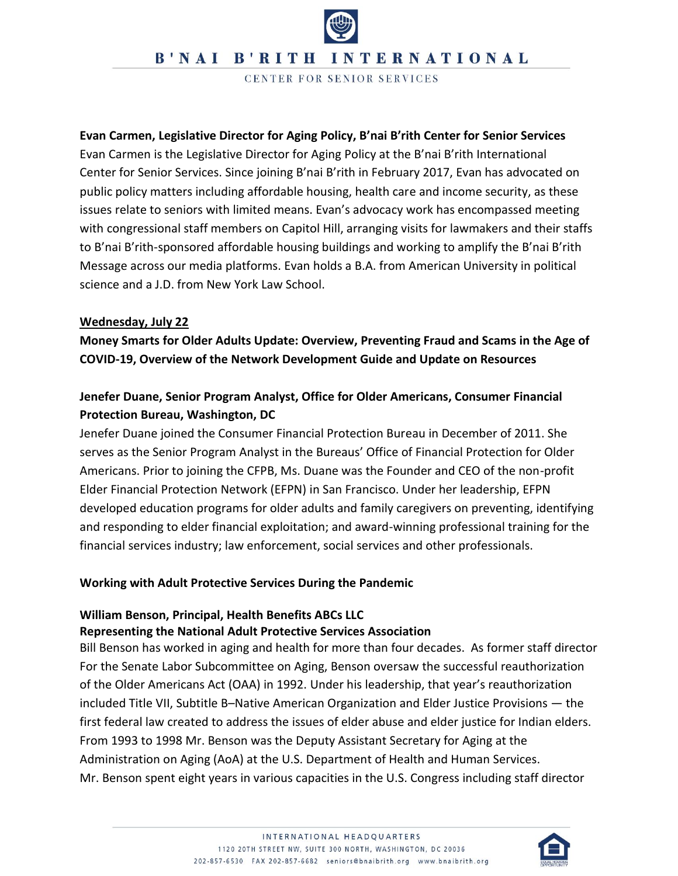CENTER FOR SENIOR SERVICES

**Evan Carmen, Legislative Director for Aging Policy, B'nai B'rith Center for Senior Services** Evan Carmen is the Legislative Director for Aging Policy at the B'nai B'rith International Center for Senior Services. Since joining B'nai B'rith in February 2017, Evan has advocated on public policy matters including affordable housing, health care and income security, as these issues relate to seniors with limited means. Evan's advocacy work has encompassed meeting with congressional staff members on Capitol Hill, arranging visits for lawmakers and their staffs to B'nai B'rith-sponsored affordable housing buildings and working to amplify the B'nai B'rith Message across our media platforms. Evan holds a B.A. from American University in political science and a J.D. from New York Law School.

#### **Wednesday, July 22**

**Money Smarts for Older Adults Update: Overview, Preventing Fraud and Scams in the Age of COVID-19, Overview of the Network Development Guide and Update on Resources**

## **Jenefer Duane, Senior Program Analyst, Office for Older Americans, Consumer Financial Protection Bureau, Washington, DC**

Jenefer Duane joined the Consumer Financial Protection Bureau in December of 2011. She serves as the Senior Program Analyst in the Bureaus' Office of Financial Protection for Older Americans. Prior to joining the CFPB, Ms. Duane was the Founder and CEO of the non-profit Elder Financial Protection Network (EFPN) in San Francisco. Under her leadership, EFPN developed education programs for older adults and family caregivers on preventing, identifying and responding to elder financial exploitation; and award-winning professional training for the financial services industry; law enforcement, social services and other professionals.

#### **Working with Adult Protective Services During the Pandemic**

### **William Benson, Principal, Health Benefits ABCs LLC Representing the National Adult Protective Services Association**

Bill Benson has worked in aging and health for more than four decades. As former staff director For the Senate Labor Subcommittee on Aging, Benson oversaw the successful reauthorization of the Older Americans Act (OAA) in 1992. Under his leadership, that year's reauthorization included Title VII, Subtitle B–Native American Organization and Elder Justice Provisions — the first federal law created to address the issues of elder abuse and elder justice for Indian elders. From 1993 to 1998 Mr. Benson was the Deputy Assistant Secretary for Aging at the Administration on Aging (AoA) at the U.S. Department of Health and Human Services. Mr. Benson spent eight years in various capacities in the U.S. Congress including staff director

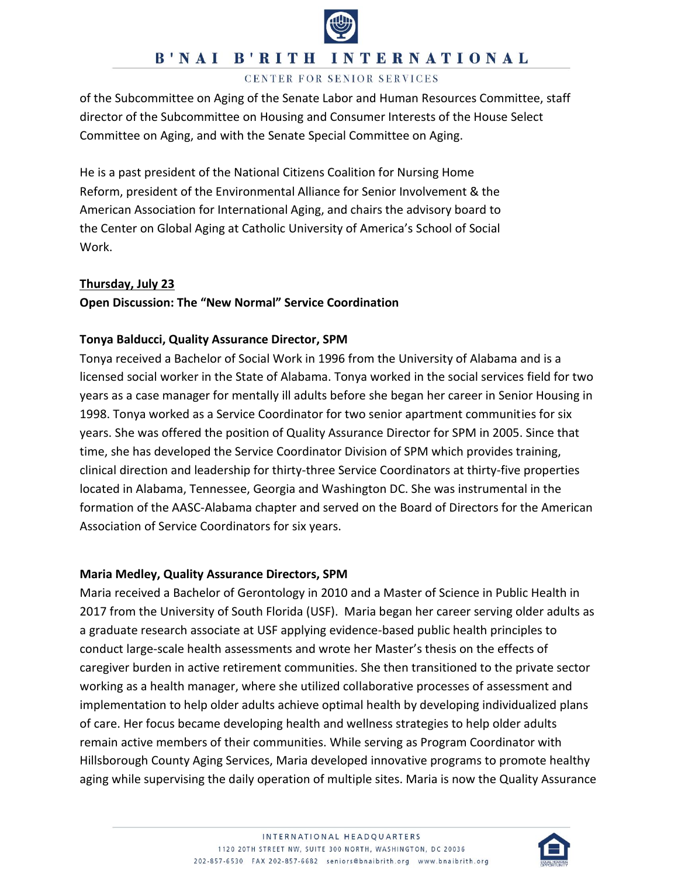

#### CENTER FOR SENIOR SERVICES

of the Subcommittee on Aging of the Senate Labor and Human Resources Committee, staff director of the Subcommittee on Housing and Consumer Interests of the House Select Committee on Aging, and with the Senate Special Committee on Aging.

He is a past president of the National Citizens Coalition for Nursing Home Reform, president of the Environmental Alliance for Senior Involvement & the American Association for International Aging, and chairs the advisory board to the Center on Global Aging at Catholic University of America's School of Social Work.

#### **Thursday, July 23**

#### **Open Discussion: The "New Normal" Service Coordination**

#### **Tonya Balducci, Quality Assurance Director, SPM**

Tonya received a Bachelor of Social Work in 1996 from the University of Alabama and is a licensed social worker in the State of Alabama. Tonya worked in the social services field for two years as a case manager for mentally ill adults before she began her career in Senior Housing in 1998. Tonya worked as a Service Coordinator for two senior apartment communities for six years. She was offered the position of Quality Assurance Director for SPM in 2005. Since that time, she has developed the Service Coordinator Division of SPM which provides training, clinical direction and leadership for thirty-three Service Coordinators at thirty-five properties located in Alabama, Tennessee, Georgia and Washington DC. She was instrumental in the formation of the AASC-Alabama chapter and served on the Board of Directors for the American Association of Service Coordinators for six years.

#### **Maria Medley, Quality Assurance Directors, SPM**

Maria received a Bachelor of Gerontology in 2010 and a Master of Science in Public Health in 2017 from the University of South Florida (USF). Maria began her career serving older adults as a graduate research associate at USF applying evidence-based public health principles to conduct large-scale health assessments and wrote her Master's thesis on the effects of caregiver burden in active retirement communities. She then transitioned to the private sector working as a health manager, where she utilized collaborative processes of assessment and implementation to help older adults achieve optimal health by developing individualized plans of care. Her focus became developing health and wellness strategies to help older adults remain active members of their communities. While serving as Program Coordinator with Hillsborough County Aging Services, Maria developed innovative programs to promote healthy aging while supervising the daily operation of multiple sites. Maria is now the Quality Assurance

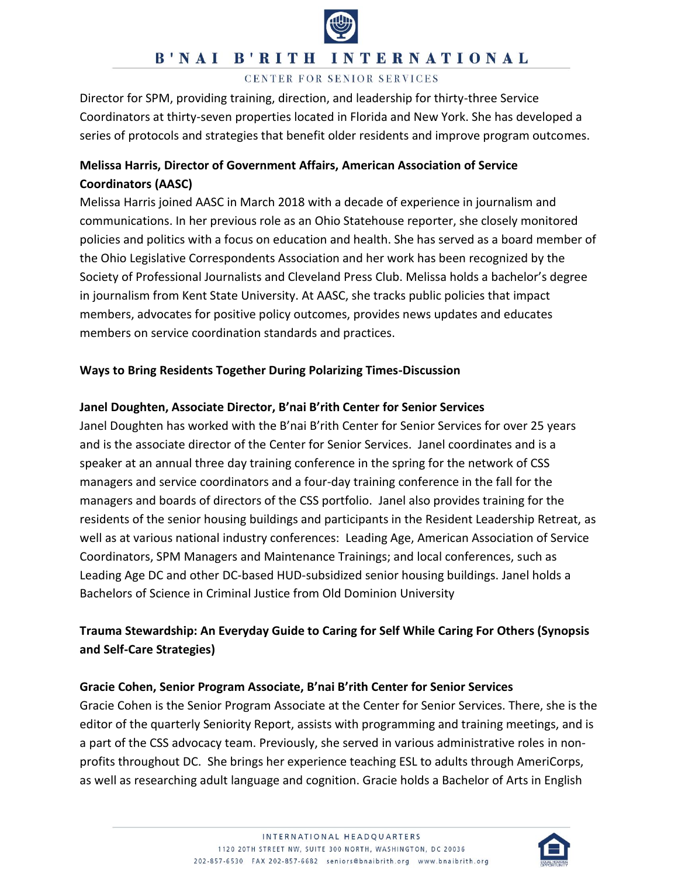

#### CENTER FOR SENIOR SERVICES

Director for SPM, providing training, direction, and leadership for thirty-three Service Coordinators at thirty-seven properties located in Florida and New York. She has developed a series of protocols and strategies that benefit older residents and improve program outcomes.

## **Melissa Harris, Director of Government Affairs, American Association of Service Coordinators (AASC)**

Melissa Harris joined AASC in March 2018 with a decade of experience in journalism and communications. In her previous role as an Ohio Statehouse reporter, she closely monitored policies and politics with a focus on education and health. She has served as a board member of the Ohio Legislative Correspondents Association and her work has been recognized by the Society of Professional Journalists and Cleveland Press Club. Melissa holds a bachelor's degree in journalism from Kent State University. At AASC, she tracks public policies that impact members, advocates for positive policy outcomes, provides news updates and educates members on service coordination standards and practices.

### **Ways to Bring Residents Together During Polarizing Times-Discussion**

## **Janel Doughten, Associate Director, B'nai B'rith Center for Senior Services**

Janel Doughten has worked with the B'nai B'rith Center for Senior Services for over 25 years and is the associate director of the Center for Senior Services. Janel coordinates and is a speaker at an annual three day training conference in the spring for the network of CSS managers and service coordinators and a four-day training conference in the fall for the managers and boards of directors of the CSS portfolio. Janel also provides training for the residents of the senior housing buildings and participants in the Resident Leadership Retreat, as well as at various national industry conferences: Leading Age, American Association of Service Coordinators, SPM Managers and Maintenance Trainings; and local conferences, such as Leading Age DC and other DC-based HUD-subsidized senior housing buildings. Janel holds a Bachelors of Science in Criminal Justice from Old Dominion University

## **Trauma Stewardship: An Everyday Guide to Caring for Self While Caring For Others (Synopsis and Self-Care Strategies)**

### **Gracie Cohen, Senior Program Associate, B'nai B'rith Center for Senior Services**

Gracie Cohen is the Senior Program Associate at the Center for Senior Services. There, she is the editor of the quarterly Seniority Report, assists with programming and training meetings, and is a part of the CSS advocacy team. Previously, she served in various administrative roles in nonprofits throughout DC. She brings her experience teaching ESL to adults through AmeriCorps, as well as researching adult language and cognition. Gracie holds a Bachelor of Arts in English